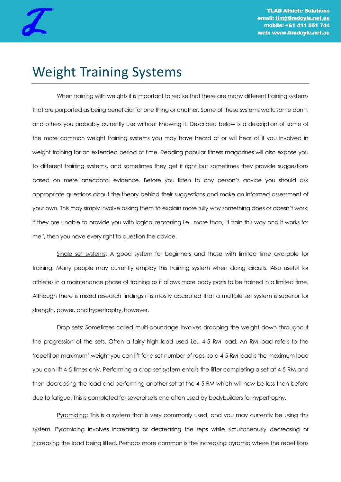

## Weight Training Systems

When training with weights it is important to realise that there are many different training systems that are purported as being beneficial for one thing or another. Some of these systems work, some don"t, and others you probably currently use without knowing it. Described below is a description of some of the more common weight training systems you may have heard of or will hear of if you involved in weight training for an extended period of time. Reading popular fitness magazines will also expose you to different training systems, and sometimes they get it right but sometimes they provide suggestions based on mere anecdotal evidence. Before you listen to any person"s advice you should ask appropriate questions about the theory behind their suggestions and make an informed assessment of your own. This may simply involve asking them to explain more fully why something does or doesn"t work, if they are unable to provide you with logical reasoning i.e., more than, "I train this way and it works for me", then you have every right to question the advice.

Single set systems: A good system for beginners and those with limited time available for training. Many people may currently employ this training system when doing circuits. Also useful for athletes in a maintenance phase of training as it allows more body parts to be trained in a limited time. Although there is mixed research findings it is mostly accepted that a multiple set system is superior for strength, power, and hypertrophy, however.

Drop sets: Sometimes called multi-poundage involves dropping the weight down throughout the progression of the sets. Often a fairly high load used i.e., 4-5 RM load. An RM load refers to the "repetition maximum" weight you can lift for a set number of reps, so a 4-5 RM load is the maximum load you can lift 4-5 times only. Performing a drop set system entails the lifter completing a set at 4-5 RM and then decreasing the load and performing another set at the 4-5 RM which will now be less than before due to fatigue. This is completed for several sets and often used by bodybuilders for hypertrophy.

Pyramiding: This is a system that is very commonly used, and you may currently be using this system. Pyramiding involves increasing or decreasing the reps while simultaneously decreasing or increasing the load being lifted. Perhaps more common is the increasing pyramid where the repetitions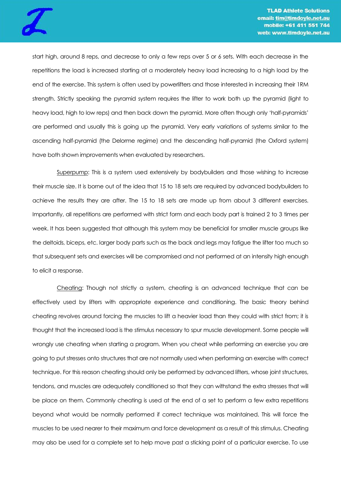

start high, around 8 reps, and decrease to only a few reps over 5 or 6 sets. With each decrease in the repetitions the load is increased starting at a moderately heavy load increasing to a high load by the end of the exercise. This system is often used by powerlifters and those interested in increasing their 1RM strength. Strictly speaking the pyramid system requires the lifter to work both up the pyramid (light to heavy load, high to low reps) and then back down the pyramid. More often though only "half-pyramids" are performed and usually this is going up the pyramid. Very early variations of systems similar to the ascending half-pyramid (the Delorme regime) and the descending half-pyramid (the Oxford system) have both shown improvements when evaluated by researchers.

Superpump: This is a system used extensively by bodybuilders and those wishing to increase their muscle size. It is borne out of the idea that 15 to 18 sets are required by advanced bodybuilders to achieve the results they are after. The 15 to 18 sets are made up from about 3 different exercises. Importantly, all repetitions are performed with strict form and each body part is trained 2 to 3 times per week. It has been suggested that although this system may be beneficial for smaller muscle groups like the deltoids, biceps, etc. larger body parts such as the back and legs may fatigue the lifter too much so that subsequent sets and exercises will be compromised and not performed at an intensity high enough to elicit a response.

Cheating: Though not strictly a system, cheating is an advanced technique that can be effectively used by lifters with appropriate experience and conditioning. The basic theory behind cheating revolves around forcing the muscles to lift a heavier load than they could with strict from; it is thought that the increased load is the stimulus necessary to spur muscle development. Some people will wrongly use cheating when starting a program. When you cheat while performing an exercise you are going to put stresses onto structures that are not normally used when performing an exercise with correct technique. For this reason cheating should only be performed by advanced lifters, whose joint structures, tendons, and muscles are adequately conditioned so that they can withstand the extra stresses that will be place on them. Commonly cheating is used at the end of a set to perform a few extra repetitions beyond what would be normally performed if correct technique was maintained. This will force the muscles to be used nearer to their maximum and force development as a result of this stimulus. Cheating may also be used for a complete set to help move past a sticking point of a particular exercise. To use